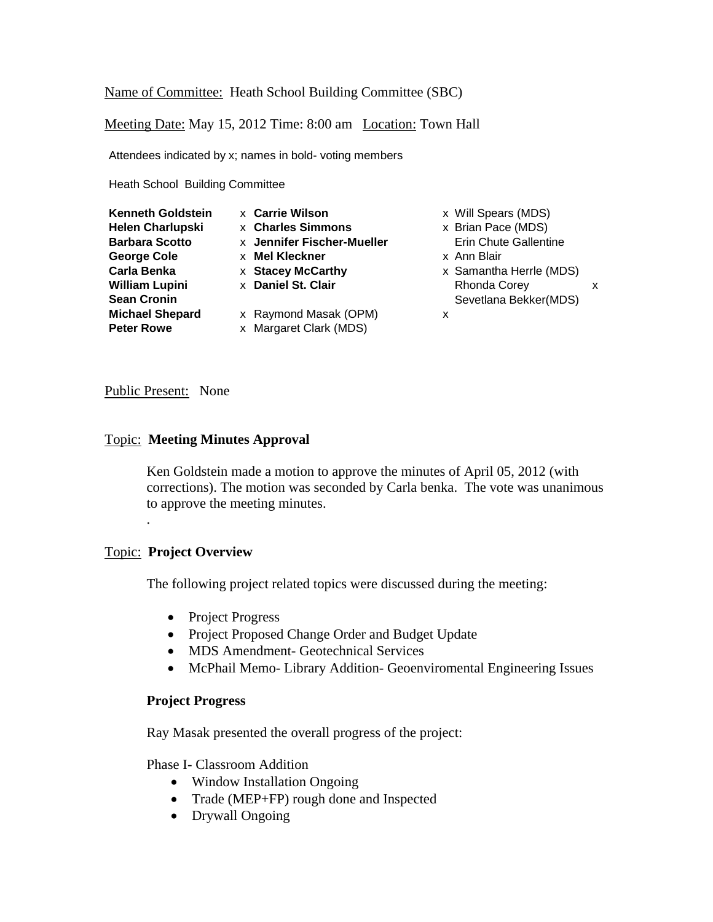Name of Committee: Heath School Building Committee (SBC)

Meeting Date: May 15, 2012 Time: 8:00 am Location: Town Hall

Attendees indicated by x; names in bold- voting members

Heath School Building Committee

| <b>Kenneth Goldstein</b> | <b>x</b> Carrie Wilson     | x |
|--------------------------|----------------------------|---|
| <b>Helen Charlupski</b>  | <b>x</b> Charles Simmons   | x |
| <b>Barbara Scotto</b>    | x Jennifer Fischer-Mueller |   |
| <b>George Cole</b>       | <b>x</b> Mel Kleckner      | x |
| Carla Benka              | <b>x</b> Stacey McCarthy   | x |
| <b>William Lupini</b>    | x Daniel St. Clair         |   |
| <b>Sean Cronin</b>       |                            |   |
| <b>Michael Shepard</b>   | x Raymond Masak (OPM)      | x |
| <b>Peter Rowe</b>        | x Margaret Clark (MDS)     |   |

- **Kenneth Goldstein** x **Carrie Wilson** x Will Spears (MDS)
- **Helen Charlupski** x **Charles Simmons** x Brian Pace (MDS) **Brin Chute Gallentine**
- **George Cole** x **Mel Kleckner** x Ann Blair
- **Carla Benka** x **Stacey McCarthy** x Samantha Herrle (MDS) **Rhonda Corey x x** Sevetlana Bekker(MDS)
- 

### Public Present: None

### Topic: **Meeting Minutes Approval**

Ken Goldstein made a motion to approve the minutes of April 05, 2012 (with corrections). The motion was seconded by Carla benka. The vote was unanimous to approve the meeting minutes.

### Topic: **Project Overview**

.

The following project related topics were discussed during the meeting:

- Project Progress
- Project Proposed Change Order and Budget Update
- MDS Amendment- Geotechnical Services
- McPhail Memo- Library Addition- Geoenviromental Engineering Issues

### **Project Progress**

Ray Masak presented the overall progress of the project:

Phase I- Classroom Addition

- Window Installation Ongoing
- Trade (MEP+FP) rough done and Inspected
- Drywall Ongoing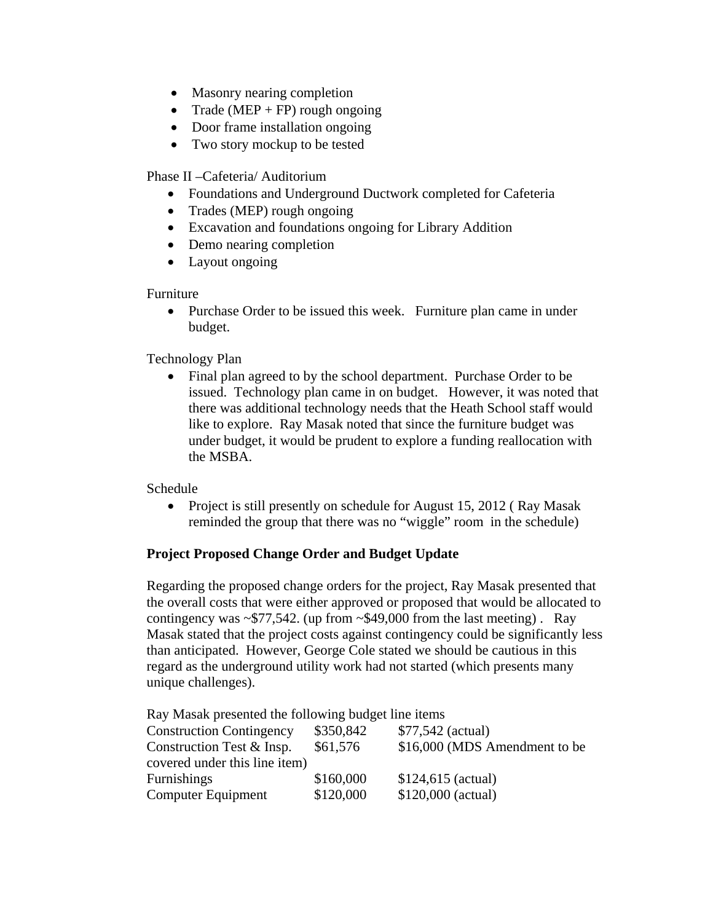- Masonry nearing completion
- Trade (MEP + FP) rough ongoing
- Door frame installation ongoing
- Two story mockup to be tested

Phase II –Cafeteria/ Auditorium

- Foundations and Underground Ductwork completed for Cafeteria
- Trades (MEP) rough ongoing
- Excavation and foundations ongoing for Library Addition
- Demo nearing completion
- Layout ongoing

### Furniture

• Purchase Order to be issued this week. Furniture plan came in under budget.

Technology Plan

• Final plan agreed to by the school department. Purchase Order to be issued. Technology plan came in on budget. However, it was noted that there was additional technology needs that the Heath School staff would like to explore. Ray Masak noted that since the furniture budget was under budget, it would be prudent to explore a funding reallocation with the MSBA.

Schedule

• Project is still presently on schedule for August 15, 2012 (Ray Masak reminded the group that there was no "wiggle" room in the schedule)

## **Project Proposed Change Order and Budget Update**

Regarding the proposed change orders for the project, Ray Masak presented that the overall costs that were either approved or proposed that would be allocated to contingency was  $\sim$ \$77,542. (up from  $\sim$ \$49,000 from the last meeting). Ray Masak stated that the project costs against contingency could be significantly less than anticipated. However, George Cole stated we should be cautious in this regard as the underground utility work had not started (which presents many unique challenges).

Ray Masak presented the following budget line items

| <b>Construction Contingency</b> | \$350,842 | \$77,542 (actual)             |
|---------------------------------|-----------|-------------------------------|
| Construction Test & Insp.       | \$61,576  | \$16,000 (MDS Amendment to be |
| covered under this line item)   |           |                               |
| <b>Furnishings</b>              | \$160,000 | $$124,615$ (actual)           |
| Computer Equipment              | \$120,000 | $$120,000$ (actual)           |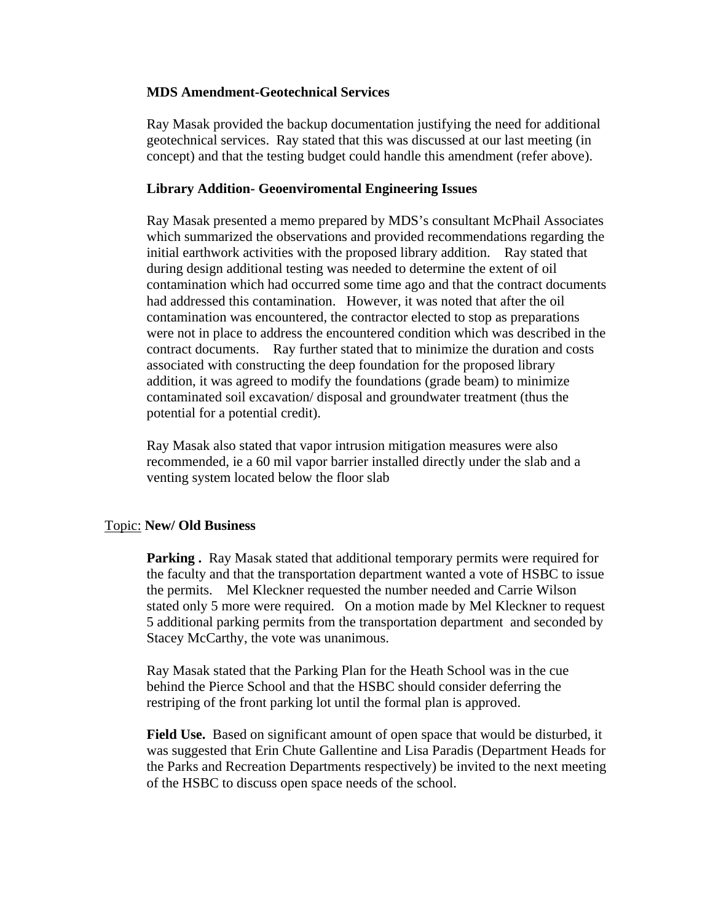### **MDS Amendment-Geotechnical Services**

Ray Masak provided the backup documentation justifying the need for additional geotechnical services. Ray stated that this was discussed at our last meeting (in concept) and that the testing budget could handle this amendment (refer above).

### **Library Addition- Geoenviromental Engineering Issues**

Ray Masak presented a memo prepared by MDS's consultant McPhail Associates which summarized the observations and provided recommendations regarding the initial earthwork activities with the proposed library addition. Ray stated that during design additional testing was needed to determine the extent of oil contamination which had occurred some time ago and that the contract documents had addressed this contamination. However, it was noted that after the oil contamination was encountered, the contractor elected to stop as preparations were not in place to address the encountered condition which was described in the contract documents. Ray further stated that to minimize the duration and costs associated with constructing the deep foundation for the proposed library addition, it was agreed to modify the foundations (grade beam) to minimize contaminated soil excavation/ disposal and groundwater treatment (thus the potential for a potential credit).

Ray Masak also stated that vapor intrusion mitigation measures were also recommended, ie a 60 mil vapor barrier installed directly under the slab and a venting system located below the floor slab

#### Topic: **New/ Old Business**

**Parking .** Ray Masak stated that additional temporary permits were required for the faculty and that the transportation department wanted a vote of HSBC to issue the permits. Mel Kleckner requested the number needed and Carrie Wilson stated only 5 more were required. On a motion made by Mel Kleckner to request 5 additional parking permits from the transportation department and seconded by Stacey McCarthy, the vote was unanimous.

Ray Masak stated that the Parking Plan for the Heath School was in the cue behind the Pierce School and that the HSBC should consider deferring the restriping of the front parking lot until the formal plan is approved.

**Field Use.** Based on significant amount of open space that would be disturbed, it was suggested that Erin Chute Gallentine and Lisa Paradis (Department Heads for the Parks and Recreation Departments respectively) be invited to the next meeting of the HSBC to discuss open space needs of the school.